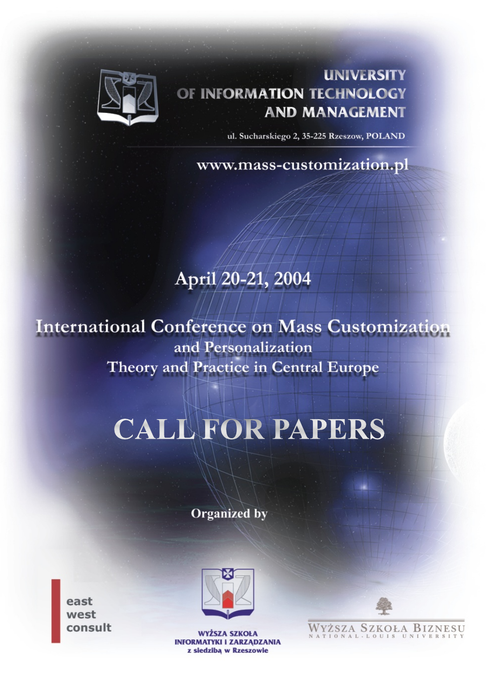

#### **UNIVERSITY** OF INFORMATION TECHNOLOGY **AND MANAGEMENT**

ul. Sucharskiego 2, 35-225 Rzeszow, POLAND

www.mass-customization.pl

# April 20-21, 2004

**International Conference on Mass Customization** and Personalization **Theory and Practice in Central Europe** 

# **CALL FOR PAPERS**

**Organized** by

east west consult



**WYŻSZA SZKOŁA INFORMATYKI I ZARZĄDZANIA** z siedziba w Rzeszowie



WYŻSZA SZKOŁA BIZNESU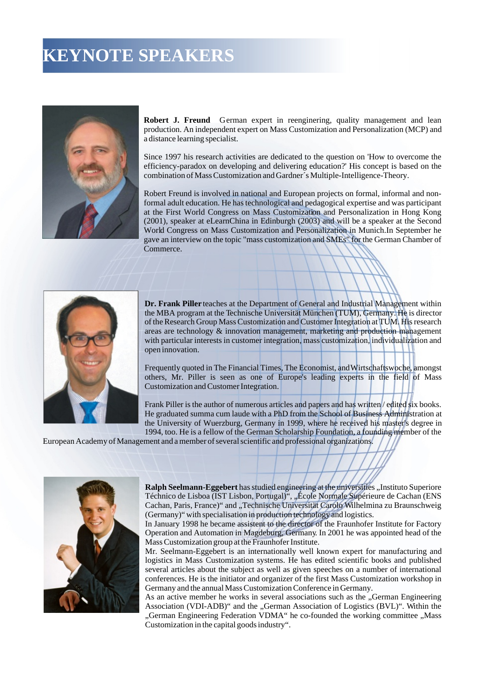### **KEYNOTE SPEAKERS**



**Robert J. Freund** German expert in reenginering, quality management and lean production. An independent expert on Mass Customization and Personalization (MCP) and a distance learning specialist.

Since 1997 his research activities are dedicated to the question on 'How to overcome the efficiency-paradox on developing and delivering education?' His concept is based on the combination of Mass Customization and Gardner´s Multiple-Intelligence-Theory.

Robert Freund is involved in national and European projects on formal, informal and nonformal adult education. He has technological and pedagogical expertise and was participant at the First World Congress on Mass Customization and Personalization in Hong Kong (2001), speaker at eLearnChina in Edinburgh (2003) and will be a speaker at the Second World Congress on Mass Customization and Personalization in Munich.In September he gave an interview on the topic "mass customization and SMEs" for the German Chamber of Commerce.



**Dr. Frank Piller** teaches at the Department of General and Industrial Management within the MBA program at the Technische Universität München (TUM), Germany. He is director of the Research Group Mass Customization and Customer Integration at TUM. His research areas are technology & innovation management, marketing and production management with particular interests in customer integration, mass customization, individualization and open innovation.

Frequently quoted in The Financial Times, The Economist, and Wirtschaftswoche, amongst others, Mr. Piller is seen as one of Europe's leading experts in the field of Mass Customization and Customer Integration.

Frank Piller is the author of numerous articles and papers and has written/edited six books. He graduated summa cum laude with a PhD from the School of Business Administration at the University of Wuerzburg, Germany in 1999, where he received his master's degree in 1994, too. He is a fellow of the German Scholarship Foundation, a founding member of the

European Academy of Management and a member of several scientific and professional organizations.



**Ralph Seelmann-Eggebert** has studied engineering at the universities "Instituto Superiore Téchnico de Lisboa (IST Lisbon, Portugal)", "École Normale Supérieure de Cachan (ENS Cachan, Paris, France)" and "Technische Universität Carolo Wilhelmina zu Braunschweig (Germany)" with specialisation in production technology and logistics.

In January 1998 he became assistent to the director of the Fraunhofer Institute for Factory Operation and Automation in Magdeburg, Germany. In 2001 he was appointed head of the Mass Customization group at the Fraunhofer Institute.

Mr. Seelmann-Eggebert is an internationally well known expert for manufacturing and logistics in Mass Customization systems. He has edited scientific books and published several articles about the subject as well as given speeches on a number of international conferences. He is the initiator and organizer of the first Mass Customization workshop in Germany and the annual Mass Customization Conference in Germany.

As an active member he works in several associations such as the "German Engineering Association (VDI-ADB)" and the "German Association of Logistics (BVL)". Within the "German Engineering Federation VDMA" he co-founded the working committee "Mass Customization in the capital goods industry".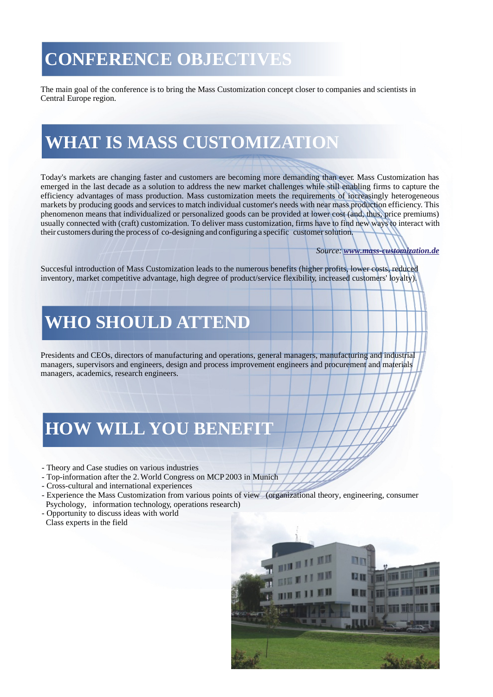# **CONFERENCE OBJECTIVES**

The main goal of the conference is to bring the Mass Customization concept closer to companies and scientists in Central Europe region.

# **WHAT IS MASS CUSTOMIZATION**

Today's markets are changing faster and customers are becoming more demanding than ever. Mass Customization has emerged in the last decade as a solution to address the new market challenges while still enabling firms to capture the efficiency advantages of mass production. Mass customization meets the requirements of increasingly heterogeneous markets by producing goods and services to match individual customer's needs with near mass production efficiency. This phenomenon means that individualized or personalized goods can be provided at lower cost (and, thus, price premiums) usually connected with (craft) customization. To deliver mass customization, firms have to find new ways to interact with their customers during the process of co-designing and configuring a specific customer solution.

#### *Source: www.mass-customization.de*

Succesful introduction of Mass Customization leads to the numerous benefits (higher profits, lower costs, reduced inventory, market competitive advantage, high degree of product/service flexibility, increased customers' loyalty).

### **WHO SHOULD ATTEND**

Presidents and CEOs, directors of manufacturing and operations, general managers, manufacturing and industrial managers, supervisors and engineers, design and process improvement engineers and procurement and materials managers, academics, research engineers.

# **HOW WILL YOU BENEFIT**

- Theory and Case studies on various industries
- Top-information after the 2. World Congress on MCP 2003 in Munich
- Cross-cultural and international experiences
- Experience the Mass Customization from various points of view (organizational theory, engineering, consumer Psychology, information technology, operations research)
- Opportunity to discuss ideas with world

Class experts in the field